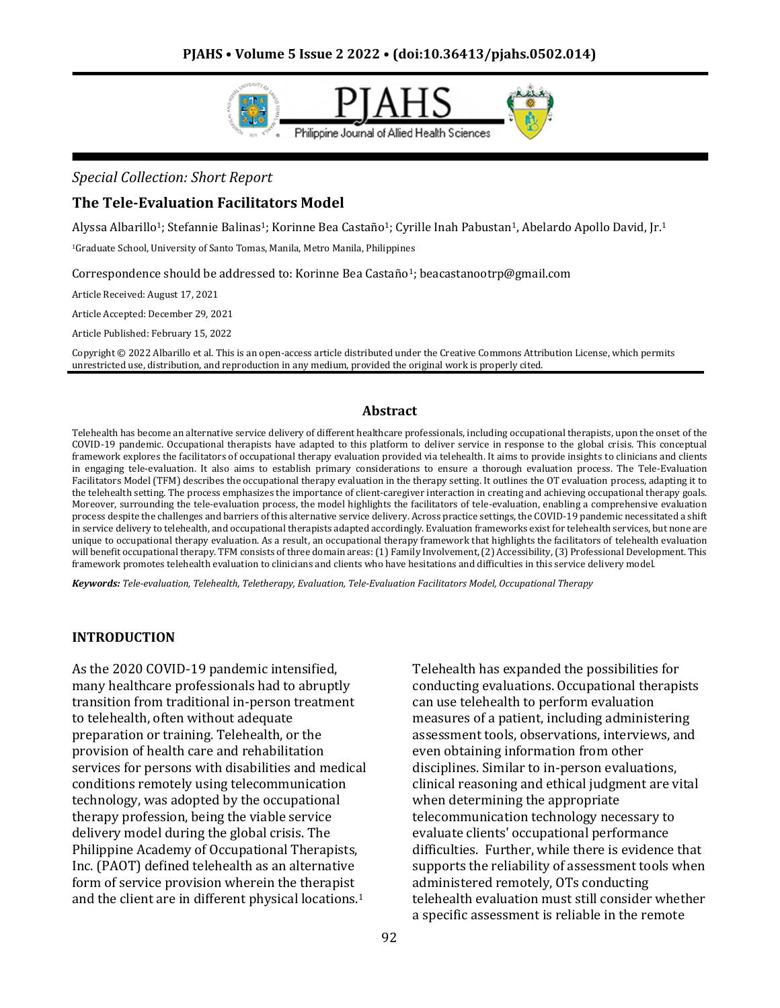

#### *Special Collection: Short Report*

### **The Tele-Evaluation Facilitators Model**

Alyssa Albarillo<sup>1</sup>; Stefannie Balinas<sup>1</sup>; Korinne Bea Castaño<sup>1</sup>; Cyrille Inah Pabustan<sup>1</sup>, Abelardo Apollo David, Jr.<sup>1</sup>

<sup>1</sup>Graduate School, University of Santo Tomas, Manila, Metro Manila, Philippines

Correspondence should be addressed to: Korinne Bea Castaño1; beacastanootrp@gmail.com

Article Received: August 17, 2021

Article Accepted: December 29, 2021

Article Published: February 15, 2022

Copyright © 2022 Albarillo et al. This is an open-access article distributed under the Creative Commons Attribution License, which permits unrestricted use, distribution, and reproduction in any medium, provided the original work is properly cited.

#### **Abstract**

Telehealth has become an alternative service delivery of different healthcare professionals, including occupational therapists, upon the onset of the COVID-19 pandemic. Occupational therapists have adapted to this platform to deliver service in response to the global crisis. This conceptual framework explores the facilitators of occupational therapy evaluation provided via telehealth. It aims to provide insights to clinicians and clients in engaging tele-evaluation. It also aims to establish primary considerations to ensure a thorough evaluation process. The Tele-Evaluation Facilitators Model (TFM) describes the occupational therapy evaluation in the therapy setting. It outlines the OT evaluation process, adapting it to the telehealth setting. The process emphasizes the importance of client-caregiver interaction in creating and achieving occupational therapy goals. Moreover, surrounding the tele-evaluation process, the model highlights the facilitators of tele-evaluation, enabling a comprehensive evaluation process despite the challenges and barriers of this alternative service delivery. Across practice settings, the COVID-19 pandemic necessitated a shift in service delivery to telehealth, and occupational therapists adapted accordingly. Evaluation frameworks exist for telehealth services, but none are unique to occupational therapy evaluation. As a result, an occupational therapy framework that highlights the facilitators of telehealth evaluation will benefit occupational therapy. TFM consists of three domain areas: (1) Family Involvement, (2) Accessibility, (3) Professional Development. This framework promotes telehealth evaluation to clinicians and clients who have hesitations and difficulties in this service delivery model.

*Keywords: Tele-evaluation, Telehealth, Teletherapy, Evaluation, Tele-Evaluation Facilitators Model, Occupational Therapy*

#### **INTRODUCTION**

As the 2020 COVID-19 pandemic intensified, many healthcare professionals had to abruptly transition from traditional in-person treatment to telehealth, often without adequate preparation or training. Telehealth, or the provision of health care and rehabilitation services for persons with disabilities and medical conditions remotely using telecommunication technology, was adopted by the occupational therapy profession, being the viable service delivery model during the global crisis. The Philippine Academy of Occupational Therapists, Inc. (PAOT) defined telehealth as an alternative form of service provision wherein the therapist and the client are in different physical locations.<sup>1</sup>

Telehealth has expanded the possibilities for conducting evaluations. Occupational therapists can use telehealth to perform evaluation measures of a patient, including administering assessment tools, observations, interviews, and even obtaining information from other disciplines. Similar to in-person evaluations, clinical reasoning and ethical judgment are vital when determining the appropriate telecommunication technology necessary to evaluate clients' occupational performance difficulties. Further, while there is evidence that supports the reliability of assessment tools when administered remotely, OTs conducting telehealth evaluation must still consider whether a specific assessment is reliable in the remote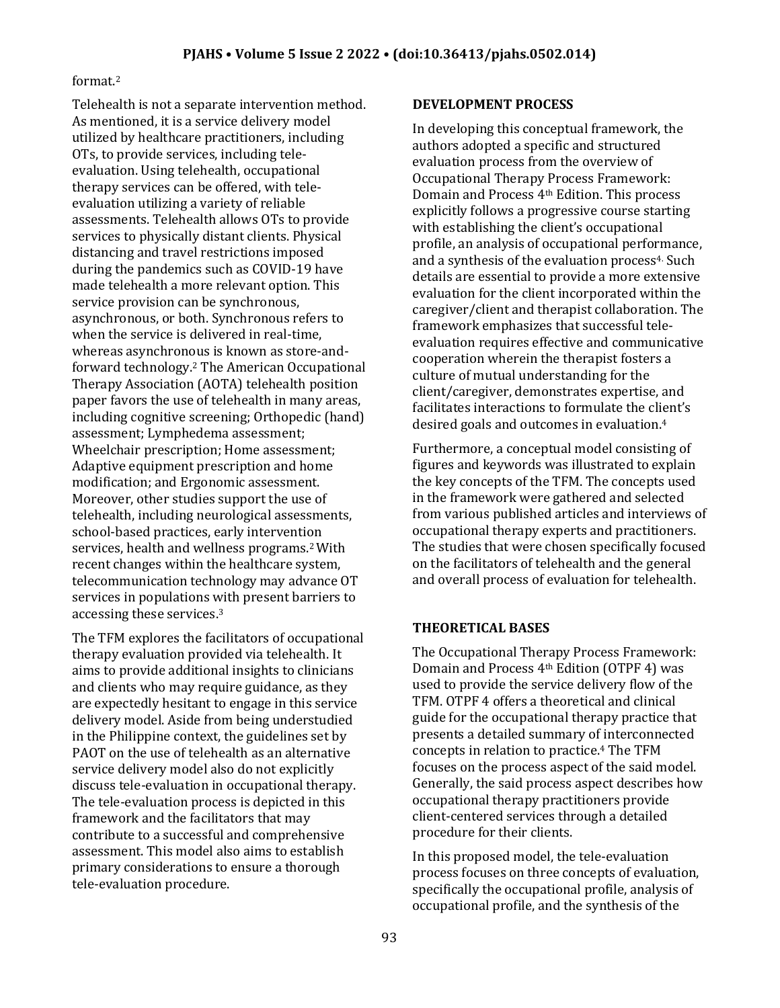### format.<sup>2</sup>

Telehealth is not a separate intervention method. As mentioned, it is a service delivery model utilized by healthcare practitioners, including OTs, to provide services, including teleevaluation. Using telehealth, occupational therapy services can be offered, with teleevaluation utilizing a variety of reliable assessments. Telehealth allows OTs to provide services to physically distant clients. Physical distancing and travel restrictions imposed during the pandemics such as COVID-19 have made telehealth a more relevant option. This service provision can be synchronous, asynchronous, or both. Synchronous refers to when the service is delivered in real-time, whereas asynchronous is known as store-andforward technology.<sup>2</sup> The American Occupational Therapy Association (AOTA) telehealth position paper favors the use of telehealth in many areas, including cognitive screening; Orthopedic (hand) assessment; Lymphedema assessment; Wheelchair prescription; Home assessment; Adaptive equipment prescription and home modification; and Ergonomic assessment. Moreover, other studies support the use of telehealth, including neurological assessments, school-based practices, early intervention services, health and wellness programs.2 With recent changes within the healthcare system, telecommunication technology may advance OT services in populations with present barriers to accessing these services.<sup>3</sup>

The TFM explores the facilitators of occupational therapy evaluation provided via telehealth. It aims to provide additional insights to clinicians and clients who may require guidance, as they are expectedly hesitant to engage in this service delivery model. Aside from being understudied in the Philippine context, the guidelines set by PAOT on the use of telehealth as an alternative service delivery model also do not explicitly discuss tele-evaluation in occupational therapy. The tele-evaluation process is depicted in this framework and the facilitators that may contribute to a successful and comprehensive assessment. This model also aims to establish primary considerations to ensure a thorough tele-evaluation procedure.

### **DEVELOPMENT PROCESS**

In developing this conceptual framework, the authors adopted a specific and structured evaluation process from the overview of Occupational Therapy Process Framework: Domain and Process 4th Edition. This process explicitly follows a progressive course starting with establishing the client's occupational profile, an analysis of occupational performance, and a synthesis of the evaluation process<sup>4.</sup> Such details are essential to provide a more extensive evaluation for the client incorporated within the caregiver/client and therapist collaboration. The framework emphasizes that successful teleevaluation requires effective and communicative cooperation wherein the therapist fosters a culture of mutual understanding for the client/caregiver, demonstrates expertise, and facilitates interactions to formulate the client's desired goals and outcomes in evaluation.<sup>4</sup>

Furthermore, a conceptual model consisting of figures and keywords was illustrated to explain the key concepts of the TFM. The concepts used in the framework were gathered and selected from various published articles and interviews of occupational therapy experts and practitioners. The studies that were chosen specifically focused on the facilitators of telehealth and the general and overall process of evaluation for telehealth.

### **THEORETICAL BASES**

The Occupational Therapy Process Framework: Domain and Process 4th Edition (OTPF 4) was used to provide the service delivery flow of the TFM. OTPF 4 offers a theoretical and clinical guide for the occupational therapy practice that presents a detailed summary of interconnected concepts in relation to practice.<sup>4</sup> The TFM focuses on the process aspect of the said model. Generally, the said process aspect describes how occupational therapy practitioners provide client-centered services through a detailed procedure for their clients.

In this proposed model, the tele-evaluation process focuses on three concepts of evaluation, specifically the occupational profile, analysis of occupational profile, and the synthesis of the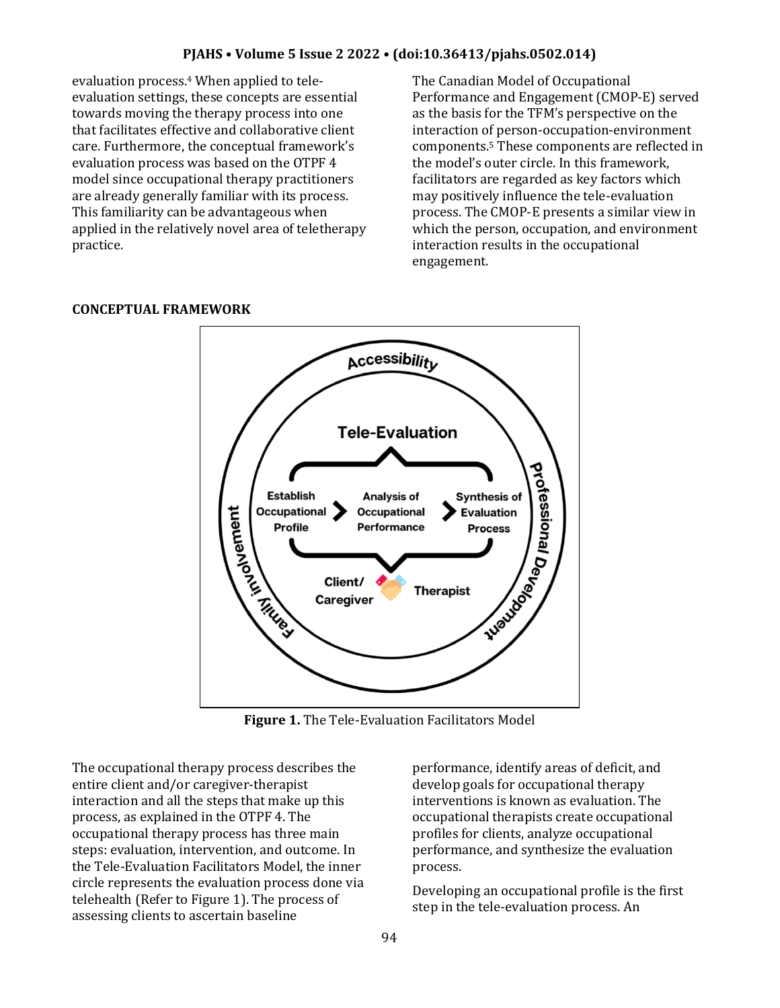### **PJAHS • Volume 5 Issue 2 2022 • (doi:10.36413/pjahs.0502.014)**

evaluation process.<sup>4</sup> When applied to teleevaluation settings, these concepts are essential towards moving the therapy process into one that facilitates effective and collaborative client care. Furthermore, the conceptual framework's evaluation process was based on the OTPF 4 model since occupational therapy practitioners are already generally familiar with its process. This familiarity can be advantageous when applied in the relatively novel area of teletherapy practice.

The Canadian Model of Occupational Performance and Engagement (CMOP-E) served as the basis for the TFM's perspective on the interaction of person-occupation-environment components.<sup>5</sup> These components are reflected in the model's outer circle. In this framework, facilitators are regarded as key factors which may positively influence the tele-evaluation process. The CMOP-E presents a similar view in which the person, occupation, and environment interaction results in the occupational engagement.



#### **CONCEPTUAL FRAMEWORK**

**Figure 1.** The Tele-Evaluation Facilitators Model

The occupational therapy process describes the entire client and/or caregiver-therapist interaction and all the steps that make up this process, as explained in the OTPF 4. The occupational therapy process has three main steps: evaluation, intervention, and outcome. In the Tele-Evaluation Facilitators Model, the inner circle represents the evaluation process done via telehealth (Refer to Figure 1). The process of assessing clients to ascertain baseline

performance, identify areas of deficit, and develop goals for occupational therapy interventions is known as evaluation. The occupational therapists create occupational profiles for clients, analyze occupational performance, and synthesize the evaluation process.

Developing an occupational profile is the first step in the tele-evaluation process. An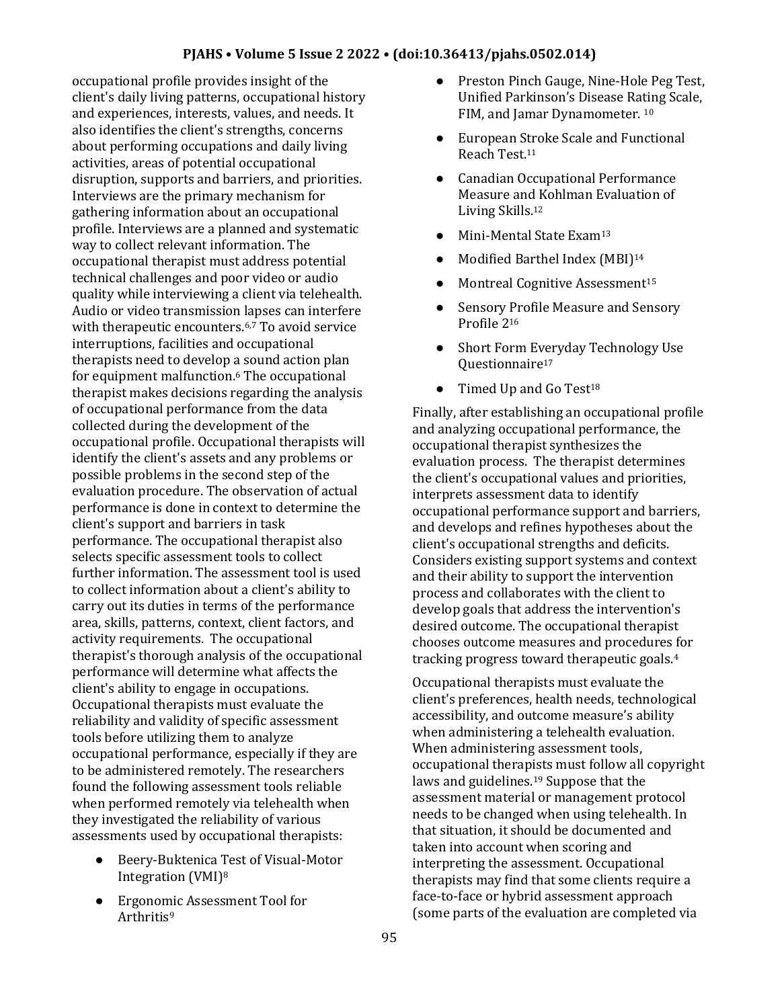occupational profile provides insight of the client's daily living patterns, occupational history and experiences, interests, values, and needs. It also identifies the client's strengths, concerns about performing occupations and daily living activities, areas of potential occupational disruption, supports and barriers, and priorities. Interviews are the primary mechanism for gathering information about an occupational profile. Interviews are a planned and systematic way to collect relevant information. The occupational therapist must address potential technical challenges and poor video or audio quality while interviewing a client via telehealth. Audio or video transmission lapses can interfere with therapeutic encounters.<sup>6,7</sup> To avoid service interruptions, facilities and occupational therapists need to develop a sound action plan for equipment malfunction.<sup>6</sup> The occupational therapist makes decisions regarding the analysis of occupational performance from the data collected during the development of the occupational profile. Occupational therapists will identify the client's assets and any problems or possible problems in the second step of the evaluation procedure. The observation of actual performance is done in context to determine the client's support and barriers in task performance. The occupational therapist also selects specific assessment tools to collect further information. The assessment tool is used to collect information about a client's ability to carry out its duties in terms of the performance area, skills, patterns, context, client factors, and activity requirements. The occupational therapist's thorough analysis of the occupational performance will determine what affects the client's ability to engage in occupations. Occupational therapists must evaluate the reliability and validity of specific assessment tools before utilizing them to analyze occupational performance, especially if they are to be administered remotely. The researchers found the following assessment tools reliable when performed remotely via telehealth when they investigated the reliability of various assessments used by occupational therapists:

- Beery-Buktenica Test of Visual-Motor Integration (VMI)<sup>8</sup>
- Ergonomic Assessment Tool for Arthritis<sup>9</sup>
- Preston Pinch Gauge, Nine-Hole Peg Test, Unified Parkinson's Disease Rating Scale, FIM, and Jamar Dynamometer, 10
- European Stroke Scale and Functional Reach Test.<sup>11</sup>
- Canadian Occupational Performance Measure and Kohlman Evaluation of Living Skills.<sup>12</sup>
- Mini-Mental State Exam<sup>13</sup>
- Modified Barthel Index (MBI)<sup>14</sup>
- Montreal Cognitive Assessment<sup>15</sup>
- Sensory Profile Measure and Sensory Profile 2<sup>16</sup>
- Short Form Everyday Technology Use Ouestionnaire<sup>17</sup>
- $\bullet$  Timed Up and Go Test<sup>18</sup>

Finally, after establishing an occupational profile and analyzing occupational performance, the occupational therapist synthesizes the evaluation process. The therapist determines the client's occupational values and priorities, interprets assessment data to identify occupational performance support and barriers, and develops and refines hypotheses about the client's occupational strengths and deficits. Considers existing support systems and context and their ability to support the intervention process and collaborates with the client to develop goals that address the intervention's desired outcome. The occupational therapist chooses outcome measures and procedures for tracking progress toward therapeutic goals.<sup>4</sup>

Occupational therapists must evaluate the client's preferences, health needs, technological accessibility, and outcome measure's ability when administering a telehealth evaluation. When administering assessment tools, occupational therapists must follow all copyright laws and guidelines.<sup>19</sup> Suppose that the assessment material or management protocol needs to be changed when using telehealth. In that situation, it should be documented and taken into account when scoring and interpreting the assessment. Occupational therapists may find that some clients require a face-to-face or hybrid assessment approach (some parts of the evaluation are completed via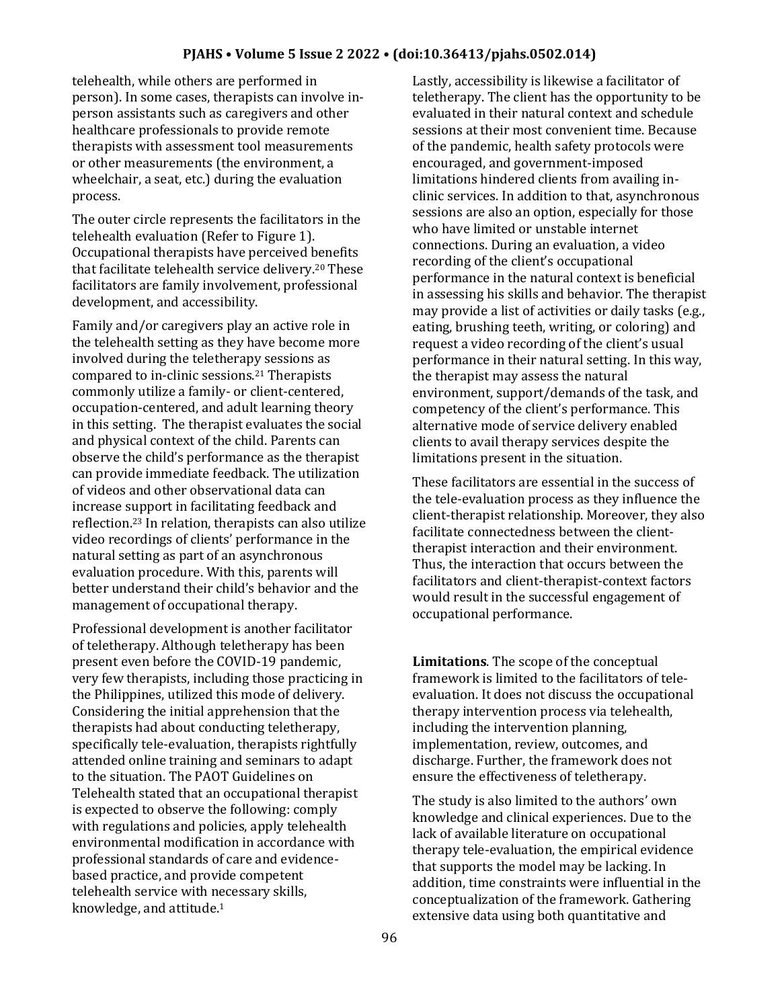#### **PJAHS • Volume 5 Issue 2 2022 • (doi:10.36413/pjahs.0502.014)**

telehealth, while others are performed in person). In some cases, therapists can involve inperson assistants such as caregivers and other healthcare professionals to provide remote therapists with assessment tool measurements or other measurements (the environment, a wheelchair, a seat, etc.) during the evaluation process.

The outer circle represents the facilitators in the telehealth evaluation (Refer to Figure 1). Occupational therapists have perceived benefits that facilitate telehealth service delivery.<sup>20</sup> These facilitators are family involvement, professional development, and accessibility.

Family and/or caregivers play an active role in the telehealth setting as they have become more involved during the teletherapy sessions as compared to in-clinic sessions.<sup>21</sup> Therapists commonly utilize a family- or client-centered, occupation-centered, and adult learning theory in this setting. The therapist evaluates the social and physical context of the child. Parents can observe the child's performance as the therapist can provide immediate feedback. The utilization of videos and other observational data can increase support in facilitating feedback and reflection.<sup>23</sup> In relation, therapists can also utilize video recordings of clients' performance in the natural setting as part of an asynchronous evaluation procedure. With this, parents will better understand their child's behavior and the management of occupational therapy.

Professional development is another facilitator of teletherapy. Although teletherapy has been present even before the COVID-19 pandemic, very few therapists, including those practicing in the Philippines, utilized this mode of delivery. Considering the initial apprehension that the therapists had about conducting teletherapy, specifically tele-evaluation, therapists rightfully attended online training and seminars to adapt to the situation. The PAOT Guidelines on Telehealth stated that an occupational therapist is expected to observe the following: comply with regulations and policies, apply telehealth environmental modification in accordance with professional standards of care and evidencebased practice, and provide competent telehealth service with necessary skills, knowledge, and attitude.<sup>1</sup>

Lastly, accessibility is likewise a facilitator of teletherapy. The client has the opportunity to be evaluated in their natural context and schedule sessions at their most convenient time. Because of the pandemic, health safety protocols were encouraged, and government-imposed limitations hindered clients from availing inclinic services. In addition to that, asynchronous sessions are also an option, especially for those who have limited or unstable internet connections. During an evaluation, a video recording of the client's occupational performance in the natural context is beneficial in assessing his skills and behavior. The therapist may provide a list of activities or daily tasks (e.g., eating, brushing teeth, writing, or coloring) and request a video recording of the client's usual performance in their natural setting. In this way, the therapist may assess the natural environment, support/demands of the task, and competency of the client's performance. This alternative mode of service delivery enabled clients to avail therapy services despite the limitations present in the situation.

These facilitators are essential in the success of the tele-evaluation process as they influence the client-therapist relationship. Moreover, they also facilitate connectedness between the clienttherapist interaction and their environment. Thus, the interaction that occurs between the facilitators and client-therapist-context factors would result in the successful engagement of occupational performance.

**Limitations**. The scope of the conceptual framework is limited to the facilitators of teleevaluation. It does not discuss the occupational therapy intervention process via telehealth, including the intervention planning, implementation, review, outcomes, and discharge. Further, the framework does not ensure the effectiveness of teletherapy.

The study is also limited to the authors' own knowledge and clinical experiences. Due to the lack of available literature on occupational therapy tele-evaluation, the empirical evidence that supports the model may be lacking. In addition, time constraints were influential in the conceptualization of the framework. Gathering extensive data using both quantitative and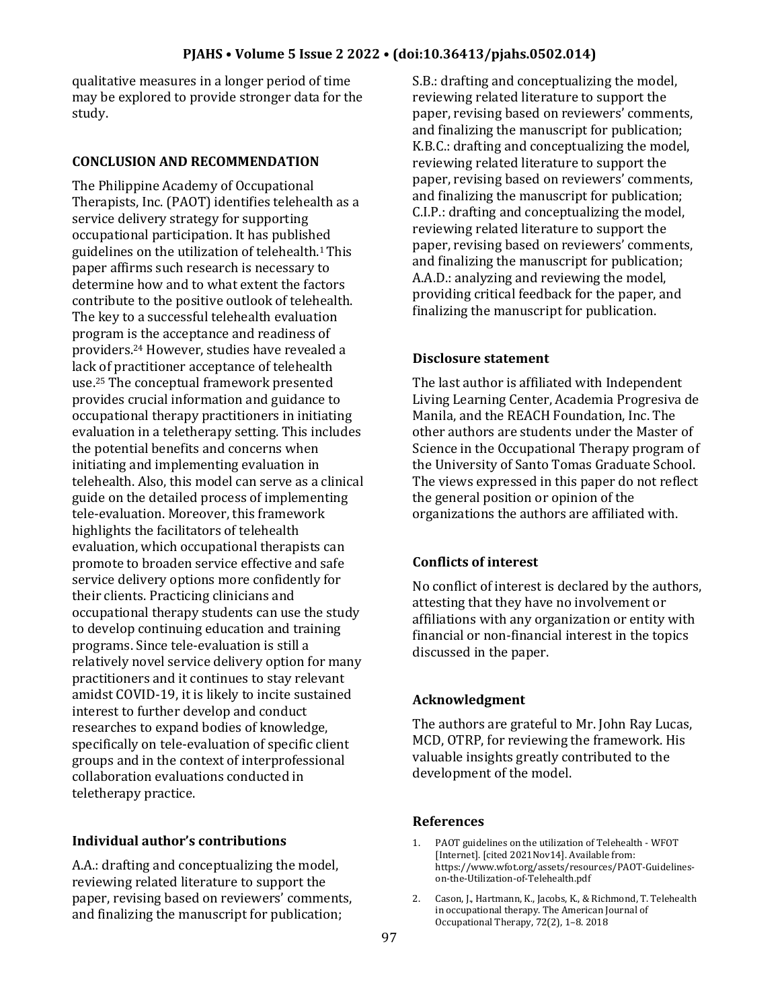qualitative measures in a longer period of time may be explored to provide stronger data for the study.

## **CONCLUSION AND RECOMMENDATION**

The Philippine Academy of Occupational Therapists, Inc. (PAOT) identifies telehealth as a service delivery strategy for supporting occupational participation. It has published guidelines on the utilization of telehealth.1 This paper affirms such research is necessary to determine how and to what extent the factors contribute to the positive outlook of telehealth. The key to a successful telehealth evaluation program is the acceptance and readiness of providers.<sup>24</sup> However, studies have revealed a lack of practitioner acceptance of telehealth use.<sup>25</sup> The conceptual framework presented provides crucial information and guidance to occupational therapy practitioners in initiating evaluation in a teletherapy setting. This includes the potential benefits and concerns when initiating and implementing evaluation in telehealth. Also, this model can serve as a clinical guide on the detailed process of implementing tele-evaluation. Moreover, this framework highlights the facilitators of telehealth evaluation, which occupational therapists can promote to broaden service effective and safe service delivery options more confidently for their clients. Practicing clinicians and occupational therapy students can use the study to develop continuing education and training programs. Since tele-evaluation is still a relatively novel service delivery option for many practitioners and it continues to stay relevant amidst COVID-19, it is likely to incite sustained interest to further develop and conduct researches to expand bodies of knowledge, specifically on tele-evaluation of specific client groups and in the context of interprofessional collaboration evaluations conducted in teletherapy practice.

# **Individual author's contributions**

A.A.: drafting and conceptualizing the model, reviewing related literature to support the paper, revising based on reviewers' comments, and finalizing the manuscript for publication;

S.B.: drafting and conceptualizing the model, reviewing related literature to support the paper, revising based on reviewers' comments, and finalizing the manuscript for publication; K.B.C.: drafting and conceptualizing the model, reviewing related literature to support the paper, revising based on reviewers' comments, and finalizing the manuscript for publication; C.I.P.: drafting and conceptualizing the model, reviewing related literature to support the paper, revising based on reviewers' comments, and finalizing the manuscript for publication; A.A.D.: analyzing and reviewing the model, providing critical feedback for the paper, and finalizing the manuscript for publication.

### **Disclosure statement**

The last author is affiliated with Independent Living Learning Center, Academia Progresiva de Manila, and the REACH Foundation, Inc. The other authors are students under the Master of Science in the Occupational Therapy program of the University of Santo Tomas Graduate School. The views expressed in this paper do not reflect the general position or opinion of the organizations the authors are affiliated with.

# **Conflicts of interest**

No conflict of interest is declared by the authors, attesting that they have no involvement or affiliations with any organization or entity with financial or non-financial interest in the topics discussed in the paper.

# **Acknowledgment**

The authors are grateful to Mr. John Ray Lucas, MCD, OTRP, for reviewing the framework. His valuable insights greatly contributed to the development of the model.

### **References**

- 1. PAOT guidelines on the utilization of Telehealth WFOT [Internet]. [cited 2021Nov14]. Available from: https://www.wfot.org/assets/resources/PAOT-Guidelineson-the-Utilization-of-Telehealth.pdf
- 2. Cason, J., Hartmann, K., Jacobs, K., & Richmond, T. Telehealth in occupational therapy. The American Journal of Occupational Therapy, 72(2), 1–8. 2018